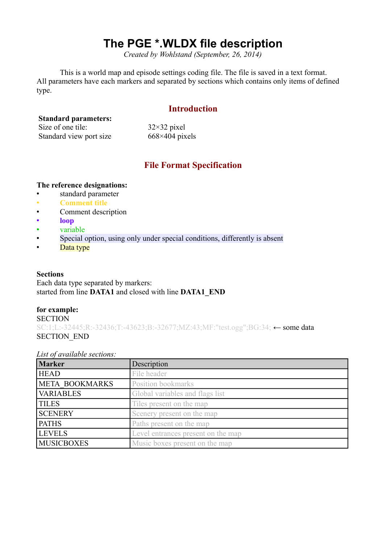# **The PGE \*.WLDX file description**

*Created by Wohlstand (September, 26, 2014)*

This is a world map and episode settings coding file. The file is saved in a text format. All parameters have each markers and separated by sections which contains only items of defined type.

# **Introduction**

## **Standard parameters:**

| Size of one tile:       | $32\times32$ pixel    |
|-------------------------|-----------------------|
| Standard view port size | $668\times404$ pixels |

# **File Format Specification**

#### **The reference designations:**

- standard parameter
- **Comment title**
- Comment description
- **loop**
- variable
- Special option, using only under special conditions, differently is absent
- Data type

#### **Sections**

Each data type separated by markers: started from line **DATA1** and closed with line **DATA1\_END**

#### **for example:**

**SECTION** SC:1;L:-32445;R:-32436;T:-43623;B:-32677;MZ:43;MF:"test.ogg";BG:34; ← some data SECTION\_END

#### *List of available sections:*

| <b>Marker</b>     | Description                        |
|-------------------|------------------------------------|
| <b>HEAD</b>       | File header                        |
| META BOOKMARKS    | Position bookmarks                 |
| <b>VARIABLES</b>  | Global variables and flags list    |
| <b>TILES</b>      | Tiles present on the map           |
| <b>SCENERY</b>    | Scenery present on the map         |
| <b>PATHS</b>      | Paths present on the map           |
| <b>LEVELS</b>     | Level entrances present on the map |
| <b>MUSICBOXES</b> | Music boxes present on the map     |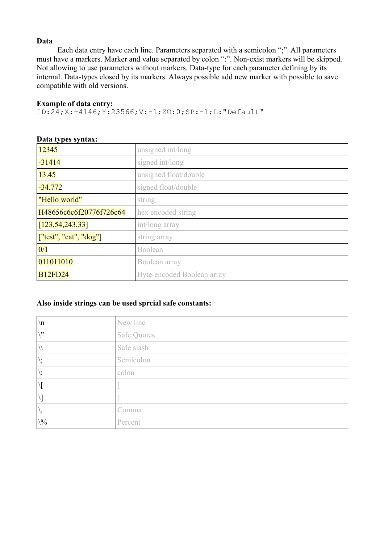## **Data**

Each data entry have each line. Parameters separated with a semicolon ";". All parameters must have a markers. Marker and value separated by colon ":". Non-exist markers will be skipped. Not allowing to use parameters without markers. Data-type for each parameter defining by its internal. Data-types closed by its markers. Always possible add new marker with possible to save compatible with old versions.

#### **Example of data entry:**

ID:24;X:-4146;Y:23566;V:-1;ZO:0;SP:-1;L:"Default"

| 12345                     | unsigned int/long          |
|---------------------------|----------------------------|
| $-31414$                  | signed int/long            |
| 13.45                     | unsigned float/double      |
| $-34.772$                 | signed float/double        |
| "Hello world"             | string                     |
| H48656c6c6f20776f726c64   | hex encoded string         |
| [123, 54, 243, 33]        | int/long array             |
| ['test'', 'cat'', 'dog''] | string array               |
| 0/1                       | Boolean                    |
| 011011010                 | Boolean array              |
| <b>B12FD24</b>            | Byte-encoded Boolean array |

#### **Data types syntax:**

#### **Also inside strings can be used sprcial safe constants:**

| $\ln$                   | New line    |
|-------------------------|-------------|
| $\sqrt{22}$             | Safe Quotes |
|                         | Safe slash  |
| ٠,                      | Semicolon   |
|                         | colon       |
|                         |             |
|                         |             |
| $\mathbf{v}_2$          | Comma       |
| $\backslash\frac{0}{0}$ | Percent     |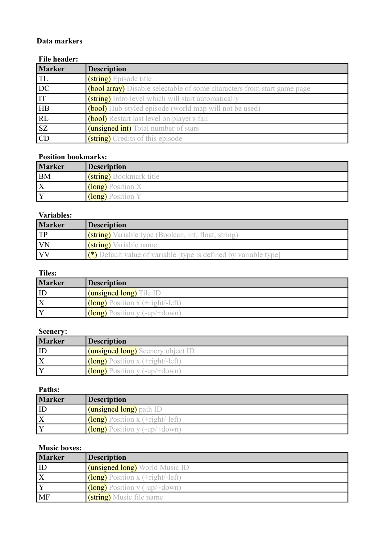# **Data markers**

## **File header:**

| Marker                 | <b>Description</b>                                                             |
|------------------------|--------------------------------------------------------------------------------|
| <b>TL</b>              | (string) Episode title                                                         |
| $\overline{DC}$        | <b>(bool array)</b> Disable selectable of some characters from start game page |
| $\overline{\text{IT}}$ | (string) Intro level which will start automatically                            |
| <b>HB</b>              | <b>(bool)</b> Hub-styled episode (world map will not be used)                  |
| RL                     | <b>(bool)</b> Restart last level on player's fail                              |
| $\overline{\text{SZ}}$ | ( <b>unsigned int</b> ) Total number of stars                                  |
| $\overline{CD}$        | (string) Credits of this episode                                               |

# **Position bookmarks:**

| <b>Marker</b> | <b>Description</b>             |
|---------------|--------------------------------|
| <b>BM</b>     | <b>(string)</b> Bookmark title |
| X             | <b>(long)</b> Position X       |
|               | (long) Position Y              |

## **Variables:**

| <b>Marker</b> | <b>Description</b>                                                                    |
|---------------|---------------------------------------------------------------------------------------|
| TP            | <b>(string)</b> Variable type (Boolean, int, float, string)                           |
| <b>VN</b>     | (string) Variable name                                                                |
| <b>IVV</b>    | $\left( \bullet \right)$ Default value of variable [type is defined by variable type] |

## **Tiles:**

| <b>Marker</b>           | <b>Description</b>               |
|-------------------------|----------------------------------|
| <b>ID</b>               | (unsigned long) Tile ID          |
| $\overline{\mathrm{X}}$ | $\log$ Position x (+right/-left) |
| Y                       | $\log$ Position y (-up/+down)    |

#### **Scenery:**

| <b>Marker</b> | <b>Description</b>                       |
|---------------|------------------------------------------|
|               | <b>(unsigned long)</b> Scenery object ID |
|               | (long) Position x (+right/-left)         |
|               | (long) Position y (-up/+down)            |

#### **Paths:**

| <b>Marker</b> | <b>Description</b>                                                                                     |
|---------------|--------------------------------------------------------------------------------------------------------|
|               | <b>(unsigned long)</b> path ID                                                                         |
|               | $\frac{(\text{long}) \text{Position x (+right)-left)}}{(\text{long}) \text{Position x (+right)-left}}$ |
|               | (long) Position y (-up/+down)                                                                          |

# **Music boxes:**

| <b>Marker</b> | <b>Description</b>                      |
|---------------|-----------------------------------------|
| ID            | <b>(unsigned long)</b> World Music ID   |
|               | $\int$ (long) Position x (+right/-left) |
|               | (long) Position y (-up/+down)           |
| MF            | (string) Music file name                |